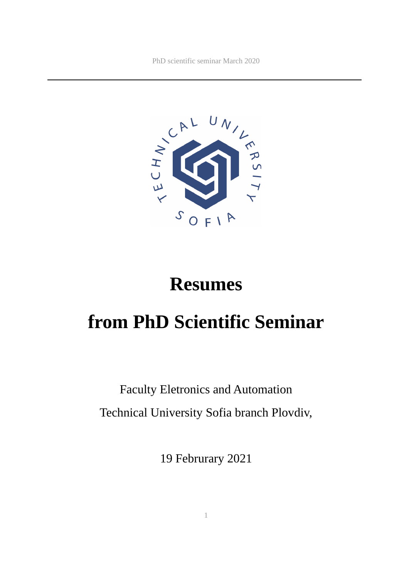

# **Resumes**

# **from PhD Scientific Seminar**

# Faculty Eletronics and Automation Technical University Sofia branch Plovdiv,

19 Februrary 2021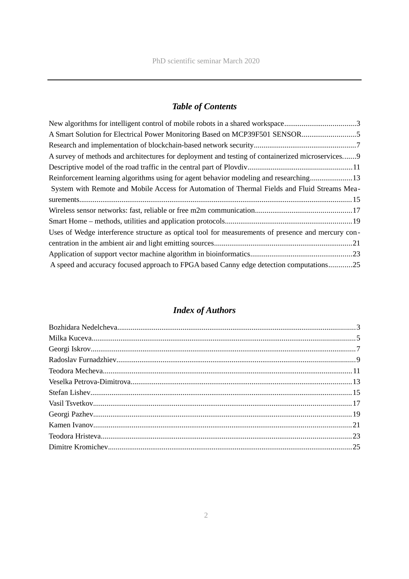# *Table of Contents*

# *Index of Authors*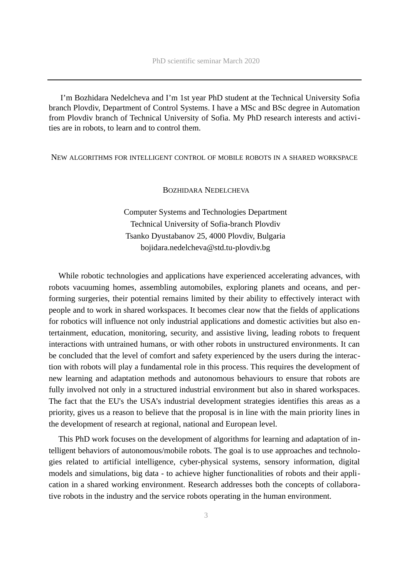I'm Bozhidara Nedelcheva and I'm 1st year PhD student at the Technical University Sofia branch Plovdiv, Department of Control Systems. I have a MSc and BSc degree in Automation from Plovdiv branch of Technical University of Sofia. My PhD research interests and activities are in robots, to learn and to control them.

<span id="page-2-1"></span>NEW ALGORITHMS FOR INTELLIGENT CONTROL OF MOBILE ROBOTS IN A SHARED WORKSPACE

#### <span id="page-2-0"></span>BOZHIDARA NEDELCHEVA

Computer Systems and Technologies Department Technical University of Sofia-branch Plovdiv Tsanko Dyustabanov 25, 4000 Plovdiv, Bulgaria bojidara.nedelcheva@std.tu-plovdiv.bg

While robotic technologies and applications have experienced accelerating advances, with robots vacuuming homes, assembling automobiles, exploring planets and oceans, and performing surgeries, their potential remains limited by their ability to effectively interact with people and to work in shared workspaces. It becomes clear now that the fields of applications for robotics will influence not only industrial applications and domestic activities but also entertainment, education, monitoring, security, and assistive living, leading robots to frequent interactions with untrained humans, or with other robots in unstructured environments. It can be concluded that the level of comfort and safety experienced by the users during the interaction with robots will play a fundamental role in this process. This requires the development of new learning and adaptation methods and autonomous behaviours to ensure that robots are fully involved not only in a structured industrial environment but also in shared workspaces. The fact that the EU's the USA's industrial development strategies identifies this areas as a priority, gives us a reason to believe that the proposal is in line with the main priority lines in the development of research at regional, national and European level.

This PhD work focuses on the development of algorithms for learning and adaptation of intelligent behaviors of autonomous/mobile robots. The goal is to use approaches and technologies related to artificial intelligence, cyber-physical systems, sensory information, digital models and simulations, big data - to achieve higher functionalities of robots and their application in a shared working environment. Research addresses both the concepts of collaborative robots in the industry and the service robots operating in the human environment.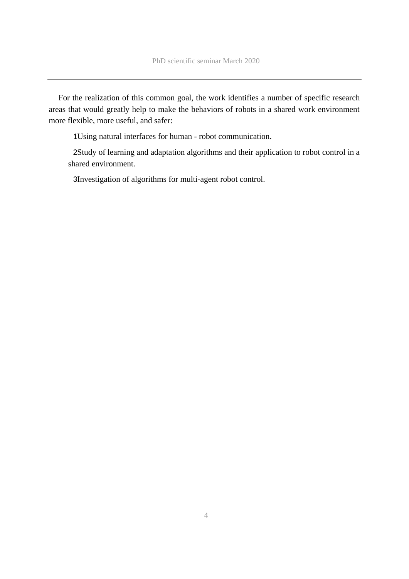For the realization of this common goal, the work identifies a number of specific research areas that would greatly help to make the behaviors of robots in a shared work environment more flexible, more useful, and safer:

1Using natural interfaces for human - robot communication.

2Study of learning and adaptation algorithms and their application to robot control in a shared environment.

3Investigation of algorithms for multi-agent robot control.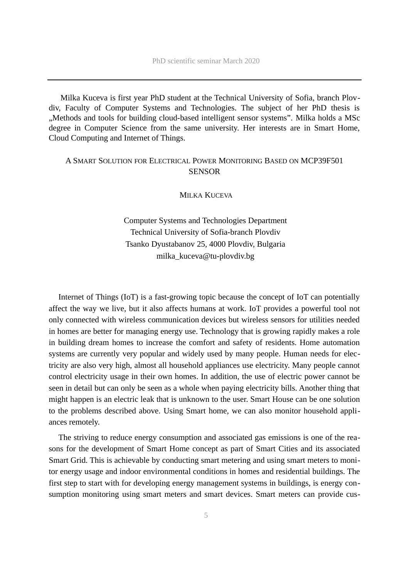Milka Kuceva is first year PhD student at the Technical University of Sofia, branch Plovdiv, Faculty of Computer Systems and Technologies. The subject of her PhD thesis is ", Methods and tools for building cloud-based intelligent sensor systems". Milka holds a MSc degree in Computer Science from the same university. Her interests are in Smart Home, Cloud Computing and Internet of Things.

## <span id="page-4-1"></span>A SMART SOLUTION FOR ELECTRICAL POWER MONITORING BASED ON MCP39F501 **SENSOR**

#### <span id="page-4-0"></span>MILKA KUCEVA

Computer Systems and Technologies Department Technical University of Sofia-branch Plovdiv Tsanko Dyustabanov 25, 4000 Plovdiv, Bulgaria milka\_kuceva@tu-plovdiv.bg

Internet of Things (IoT) is a fast-growing topic because the concept of IoT can potentially affect the way we live, but it also affects humans at work. IoT provides a powerful tool not only connected with wireless communication devices but wireless sensors for utilities needed in homes are better for managing energy use. Technology that is growing rapidly makes a role in building dream homes to increase the comfort and safety of residents. Home automation systems are currently very popular and widely used by many people. Human needs for electricity are also very high, almost all household appliances use electricity. Many people cannot control electricity usage in their own homes. In addition, the use of electric power cannot be seen in detail but can only be seen as a whole when paying electricity bills. Another thing that might happen is an electric leak that is unknown to the user. Smart House can be one solution to the problems described above. Using Smart home, we can also monitor household appliances remotely.

The striving to reduce energy consumption and associated gas emissions is one of the reasons for the development of Smart Home concept as part of Smart Cities and its associated Smart Grid. This is achievable by conducting smart metering and using smart meters to monitor energy usage and indoor environmental conditions in homes and residential buildings. The first step to start with for developing energy management systems in buildings, is energy consumption monitoring using smart meters and smart devices. Smart meters can provide cus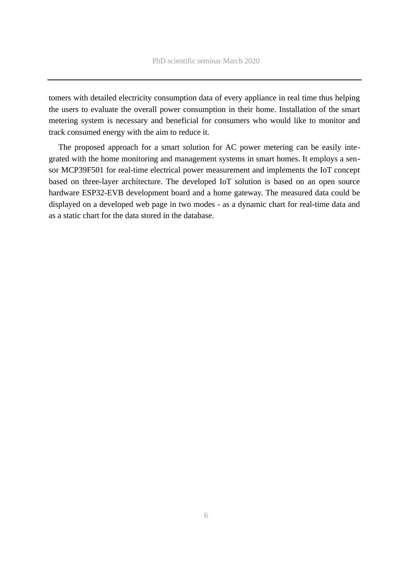tomers with detailed electricity consumption data of every appliance in real time thus helping the users to evaluate the overall power consumption in their home. Installation of the smart metering system is necessary and beneficial for consumers who would like to monitor and track consumed energy with the aim to reduce it.

The proposed approach for a smart solution for AC power metering can be easily integrated with the home monitoring and management systems in smart homes. It employs a sensor MCP39F501 for real-time electrical power measurement and implements the IoT concept based on three-layer architecture. The developed IoT solution is based on an open source hardware ESP32-EVB development board and a home gateway. The measured data could be displayed on a developed web page in two modes - as a dynamic chart for real-time data and as a static chart for the data stored in the database.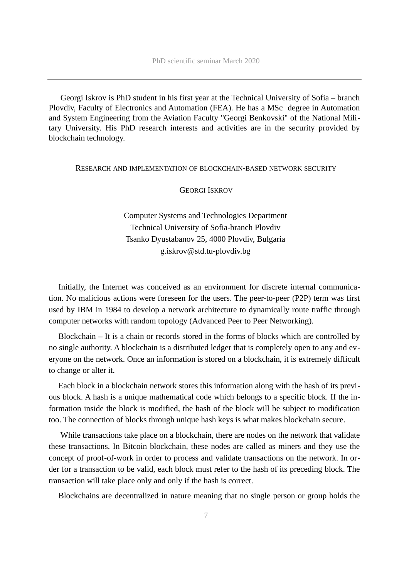Georgi Iskrov is PhD student in his first year at the Technical University of Sofia – branch Plovdiv, Faculty of Electronics and Automation (FEA). He has a MSc degree in Automation and System Engineering from the Aviation Faculty "Georgi Benkovski" of the National Military University. His PhD research interests and activities are in the security provided by blockchain technology.

#### <span id="page-6-1"></span>RESEARCH AND IMPLEMENTATION OF BLOCKCHAIN-BASED NETWORK SECURITY

#### <span id="page-6-0"></span>GEORGI ISKROV

Computer Systems and Technologies Department Technical University of Sofia-branch Plovdiv Tsanko Dyustabanov 25, 4000 Plovdiv, Bulgaria g.iskrov@std.tu-plovdiv.bg

Initially, the Internet was conceived as an environment for discrete internal communication. No malicious actions were foreseen for the users. The peer-to-peer (P2P) term was first used by IBM in 1984 to develop a network architecture to dynamically route traffic through computer networks with random topology (Advanced Peer to Peer Networking).

Blockchain – It is a chain or records stored in the forms of blocks which are controlled by no single authority. A blockchain is a distributed ledger that is completely open to any and everyone on the network. Once an information is stored on a blockchain, it is extremely difficult to change or alter it.

Each block in a blockchain network stores this information along with the hash of its previous block. A hash is a unique mathematical code which belongs to a specific block. If the information inside the block is modified, the hash of the block will be subject to modification too. The connection of blocks through unique hash keys is what makes blockchain secure.

While transactions take place on a blockchain, there are nodes on the network that validate these transactions. In Bitcoin blockchain, these nodes are called as miners and they use the concept of proof-of-work in order to process and validate transactions on the network. In order for a transaction to be valid, each block must refer to the hash of its preceding block. The transaction will take place only and only if the hash is correct.

Blockchains are decentralized in nature meaning that no single person or group holds the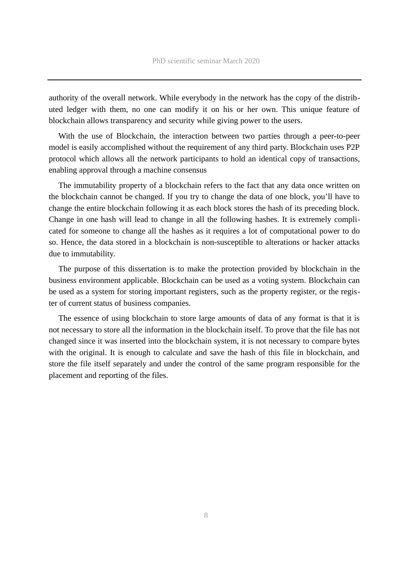authority of the overall network. While everybody in the network has the copy of the distributed ledger with them, no one can modify it on his or her own. This unique feature of blockchain allows transparency and security while giving power to the users.

With the use of Blockchain, the interaction between two parties through a peer-to-peer model is easily accomplished without the requirement of any third party. Blockchain uses P2P protocol which allows all the network participants to hold an identical copy of transactions, enabling approval through a machine consensus

The immutability property of a blockchain refers to the fact that any data once written on the blockchain cannot be changed. If you try to change the data of one block, you'll have to change the entire blockchain following it as each block stores the hash of its preceding block. Change in one hash will lead to change in all the following hashes. It is extremely complicated for someone to change all the hashes as it requires a lot of computational power to do so. Hence, the data stored in a blockchain is non-susceptible to alterations or hacker attacks due to immutability.

The purpose of this dissertation is to make the protection provided by blockchain in the business environment applicable. Blockchain can be used as a voting system. Blockchain can be used as a system for storing important registers, such as the property register, or the register of current status of business companies.

The essence of using blockchain to store large amounts of data of any format is that it is not necessary to store all the information in the blockchain itself. To prove that the file has not changed since it was inserted into the blockchain system, it is not necessary to compare bytes with the original. It is enough to calculate and save the hash of this file in blockchain, and store the file itself separately and under the control of the same program responsible for the placement and reporting of the files.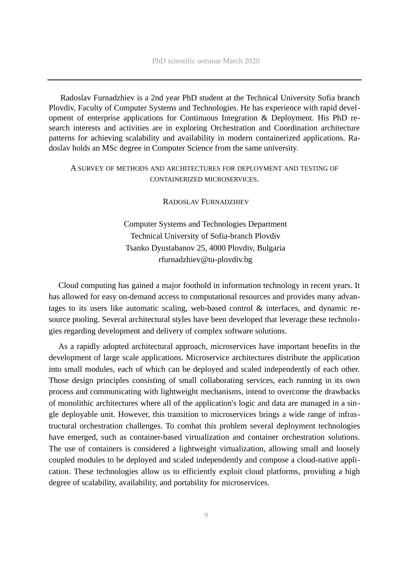Radoslav Furnadzhiev is a 2nd year PhD student at the Technical University Sofia branch Plovdiv, Faculty of Computer Systems and Technologies. He has experience with rapid development of enterprise applications for Continuous Integration & Deployment. His PhD research interests and activities are in exploring Orchestration and Coordination architecture patterns for achieving scalability and availability in modern containerized applications. Radoslav holds an MSc degree in Computer Science from the same university.

## <span id="page-8-1"></span>A SURVEY OF METHODS AND ARCHITECTURES FOR DEPLOYMENT AND TESTING OF CONTAINERIZED MICROSERVICES.

<span id="page-8-0"></span>RADOSLAV FURNADZHIEV

Computer Systems and Technologies Department Technical University of Sofia-branch Plovdiv Tsanko Dyustabanov 25, 4000 Plovdiv, Bulgaria rfurnadzhiev@tu-plovdiv.bg

Cloud computing has gained a major foothold in information technology in recent years. It has allowed for easy on-demand access to computational resources and provides many advantages to its users like automatic scaling, web-based control & interfaces, and dynamic resource pooling. Several architectural styles have been developed that leverage these technologies regarding development and delivery of complex software solutions.

As a rapidly adopted architectural approach, microservices have important benefits in the development of large scale applications. Microservice architectures distribute the application into small modules, each of which can be deployed and scaled independently of each other. Those design principles consisting of small collaborating services, each running in its own process and communicating with lightweight mechanisms, intend to overcome the drawbacks of monolithic architectures where all of the application's logic and data are managed in a single deployable unit. However, this transition to microservices brings a wide range of infrastructural orchestration challenges. To combat this problem several deployment technologies have emerged, such as container-based virtualization and container orchestration solutions. The use of containers is considered a lightweight virtualization, allowing small and loosely coupled modules to be deployed and scaled independently and compose a cloud-native application. These technologies allow us to efficiently exploit cloud platforms, providing a high degree of scalability, availability, and portability for microservices.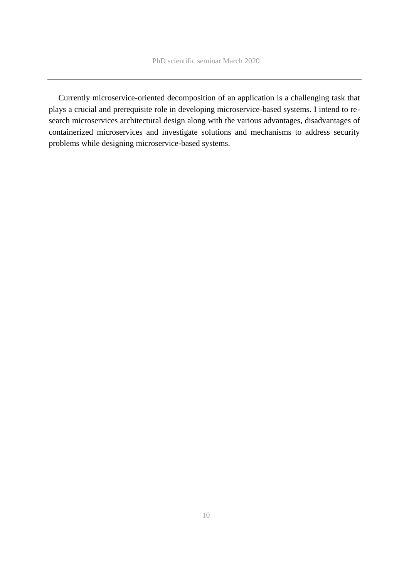Currently microservice-oriented decomposition of an application is a challenging task that plays a crucial and prerequisite role in developing microservice-based systems. I intend to research microservices architectural design along with the various advantages, disadvantages of containerized microservices and investigate solutions and mechanisms to address security problems while designing microservice-based systems.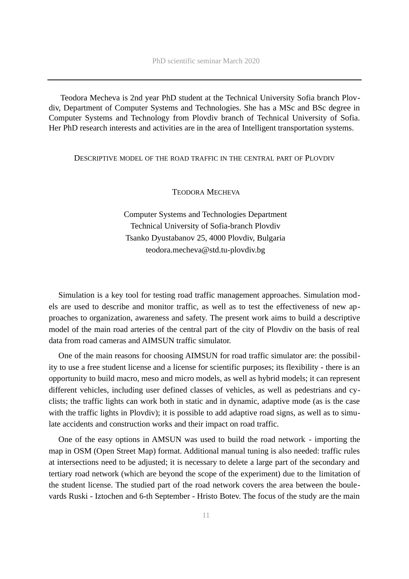Teodora Mecheva is 2nd year PhD student at the Technical University Sofia branch Plovdiv, Department of Computer Systems and Technologies. She has a MSc and BSc degree in Computer Systems and Technology from Plovdiv branch of Technical University of Sofia. Her PhD research interests and activities are in the area of Intelligent transportation systems.

#### <span id="page-10-1"></span>DESCRIPTIVE MODEL OF THE ROAD TRAFFIC IN THE CENTRAL PART OF PLOVDIV

### <span id="page-10-0"></span>TEODORA MECHEVA

Computer Systems and Technologies Department Technical University of Sofia-branch Plovdiv Tsanko Dyustabanov 25, 4000 Plovdiv, Bulgaria teodora.mecheva@std.tu-plovdiv.bg

Simulation is a key tool for testing road traffic management approaches. Simulation models are used to describe and monitor traffic, as well as to test the effectiveness of new approaches to organization, awareness and safety. The present work aims to build a descriptive model of the main road arteries of the central part of the city of Plovdiv on the basis of real data from road cameras and AIMSUN traffic simulator.

One of the main reasons for choosing AIMSUN for road traffic simulator are: the possibility to use a free student license and a license for scientific purposes; its flexibility - there is an opportunity to build macro, meso and micro models, as well as hybrid models; it can represent different vehicles, including user defined classes of vehicles, as well as pedestrians and cyclists; the traffic lights can work both in static and in dynamic, adaptive mode (as is the case with the traffic lights in Plovdiv); it is possible to add adaptive road signs, as well as to simulate accidents and construction works and their impact on road traffic.

One of the easy options in AMSUN was used to build the road network - importing the map in OSM (Open Street Map) format. Additional manual tuning is also needed: traffic rules at intersections need to be adjusted; it is necessary to delete a large part of the secondary and tertiary road network (which are beyond the scope of the experiment) due to the limitation of the student license. The studied part of the road network covers the area between the boulevards Ruski - Iztochen and 6-th September - Hristo Botev. The focus of the study are the main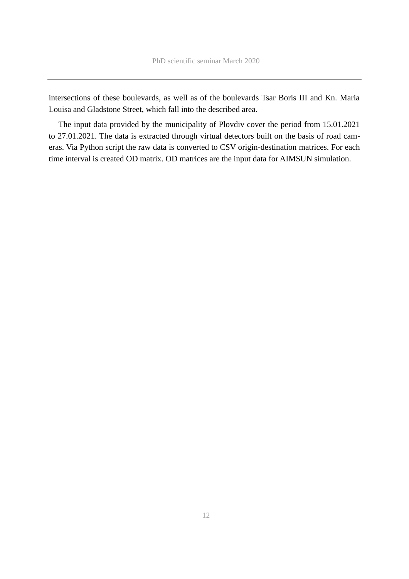intersections of these boulevards, as well as of the boulevards Tsar Boris III and Kn. Maria Louisa and Gladstone Street, which fall into the described area.

The input data provided by the municipality of Plovdiv cover the period from 15.01.2021 to 27.01.2021. The data is extracted through virtual detectors built on the basis of road cameras. Via Python script the raw data is converted to CSV origin-destination matrices. For each time interval is created OD matrix. OD matrices are the input data for AIMSUN simulation.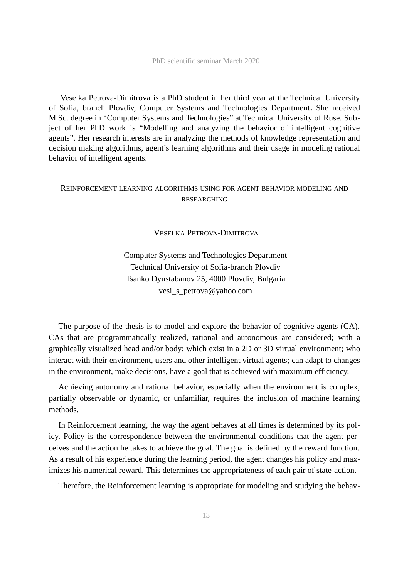Veselka Petrova-Dimitrova is a PhD student in her third year at the Technical University of Sofia, branch Plovdiv, Computer Systems and Technologies Department**.** She received M.Sc. degree in "Computer Systems and Technologies" at Technical University of Ruse. Subject of her PhD work is "Modelling and analyzing the behavior of intelligent cognitive agents". Her research interests are in analyzing the methods of knowledge representation and decision making algorithms, agent's learning algorithms and their usage in modeling rational behavior of intelligent agents.

## <span id="page-12-1"></span>REINFORCEMENT LEARNING ALGORITHMS USING FOR AGENT BEHAVIOR MODELING AND RESEARCHING

### <span id="page-12-0"></span>VESELKA PETROVA-DIMITROVA

Computer Systems and Technologies Department Technical University of Sofia-branch Plovdiv Tsanko Dyustabanov 25, 4000 Plovdiv, Bulgaria vesi s petrova@yahoo.com

The purpose of the thesis is to model and explore the behavior of cognitive agents (CA). CAs that are programmatically realized, rational and autonomous are considered; with a graphically visualized head and/or body; which exist in a 2D or 3D virtual environment; who interact with their environment, users and other intelligent virtual agents; can adapt to changes in the environment, make decisions, have a goal that is achieved with maximum efficiency.

Achieving autonomy and rational behavior, especially when the environment is complex, partially observable or dynamic, or unfamiliar, requires the inclusion of machine learning methods.

In Reinforcement learning, the way the agent behaves at all times is determined by its policy. Policy is the correspondence between the environmental conditions that the agent perceives and the action he takes to achieve the goal. The goal is defined by the reward function. As a result of his experience during the learning period, the agent changes his policy and maximizes his numerical reward. This determines the appropriateness of each pair of state-action.

Therefore, the Reinforcement learning is appropriate for modeling and studying the behav-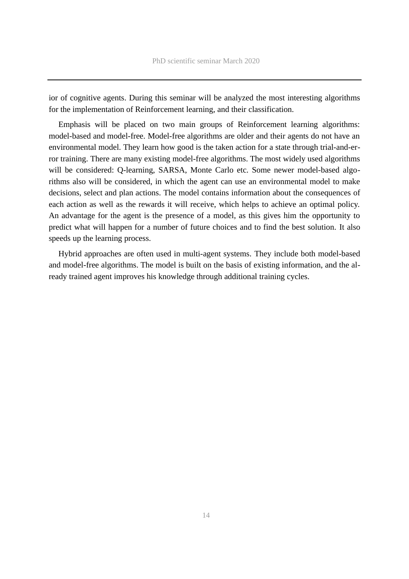ior of cognitive agents. During this seminar will be analyzed the most interesting algorithms for the implementation of Reinforcement learning, and their classification.

Emphasis will be placed on two main groups of Reinforcement learning algorithms: model-based and model-free. Model-free algorithms are older and their agents do not have an environmental model. They learn how good is the taken action for a state through trial-and-error training. There are many existing model-free algorithms. The most widely used algorithms will be considered: Q-learning, SARSA, Monte Carlo etc. Some newer model-based algorithms also will be considered, in which the agent can use an environmental model to make decisions, select and plan actions. The model contains information about the consequences of each action as well as the rewards it will receive, which helps to achieve an optimal policy. An advantage for the agent is the presence of a model, as this gives him the opportunity to predict what will happen for a number of future choices and to find the best solution. It also speeds up the learning process.

Hybrid approaches are often used in multi-agent systems. They include both model-based and model-free algorithms. The model is built on the basis of existing information, and the already trained agent improves his knowledge through additional training cycles.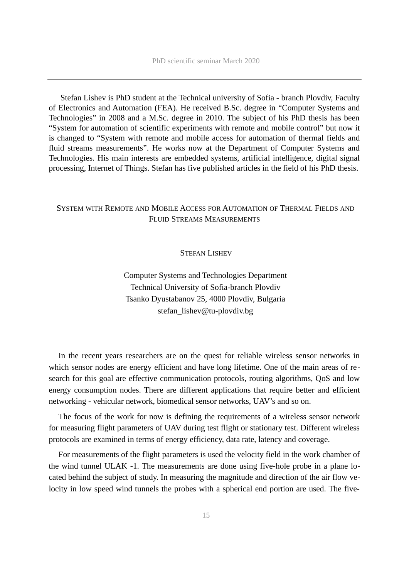Stefan Lishev is PhD student at the Technical university of Sofia - branch Plovdiv, Faculty of Electronics and Automation (FEA). He received B.Sc. degree in "Computer Systems and Technologies" in 2008 and a M.Sc. degree in 2010. The subject of his PhD thesis has been "System for automation of scientific experiments with remote and mobile control" but now it is changed to "System with remote and mobile access for automation of thermal fields and fluid streams measurements". He works now at the Department of Computer Systems and Technologies. His main interests are embedded systems, artificial intelligence, digital signal processing, Internet of Things. Stefan has five published articles in the field of his PhD thesis.

# <span id="page-14-1"></span>SYSTEM WITH REMOTE AND MOBILE ACCESS FOR AUTOMATION OF THERMAL FIELDS AND FLUID STREAMS MEASUREMENTS

### <span id="page-14-0"></span>STEFAN LISHEV

Computer Systems and Technologies Department Technical University of Sofia-branch Plovdiv Tsanko Dyustabanov 25, 4000 Plovdiv, Bulgaria stefan\_lishev@tu-plovdiv.bg

In the recent years researchers are on the quest for reliable wireless sensor networks in which sensor nodes are energy efficient and have long lifetime. One of the main areas of research for this goal are effective communication protocols, routing algorithms, QoS and low energy consumption nodes. There are different applications that require better and efficient networking - vehicular network, biomedical sensor networks, UAV's and so on.

The focus of the work for now is defining the requirements of a wireless sensor network for measuring flight parameters of UAV during test flight or stationary test. Different wireless protocols are examined in terms of energy efficiency, data rate, latency and coverage.

For measurements of the flight parameters is used the velocity field in the work chamber of the wind tunnel ULAK -1. The measurements are done using five-hole probe in a plane located behind the subject of study. In measuring the magnitude and direction of the air flow velocity in low speed wind tunnels the probes with a spherical end portion are used. The five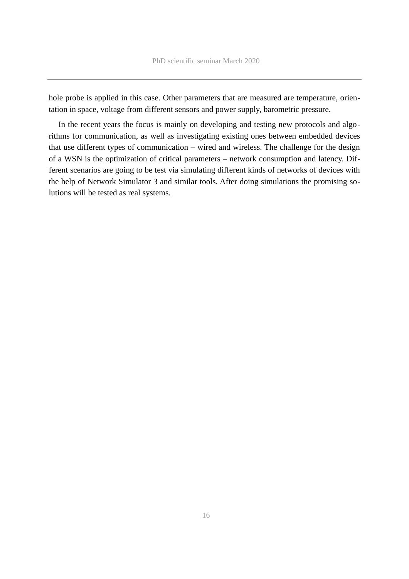hole probe is applied in this case. Other parameters that are measured are temperature, orientation in space, voltage from different sensors and power supply, barometric pressure.

In the recent years the focus is mainly on developing and testing new protocols and algorithms for communication, as well as investigating existing ones between embedded devices that use different types of communication – wired and wireless. The challenge for the design of a WSN is the optimization of critical parameters – network consumption and latency. Different scenarios are going to be test via simulating different kinds of networks of devices with the help of Network Simulator 3 and similar tools. After doing simulations the promising solutions will be tested as real systems.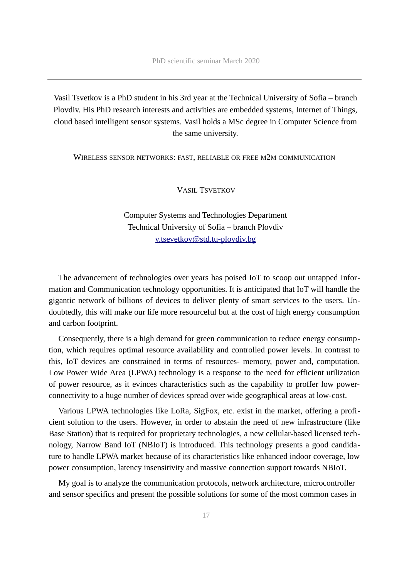Vasil Tsvetkov is a PhD student in his 3rd year at the Technical University of Sofia – branch Plovdiv. His PhD research interests and activities are embedded systems, Internet of Things, cloud based intelligent sensor systems. Vasil holds a MSc degree in Computer Science from the same university.

<span id="page-16-1"></span>WIRELESS SENSOR NETWORKS: FAST, RELIABLE OR FREE M2M COMMUNICATION

<span id="page-16-0"></span>VASIL TSVETKOV

Computer Systems and Technologies Department Technical University of Sofia – branch Plovdiv [v.tsevetkov@std.tu-plovdiv.bg](mailto:v.tsevetkov@std.tu-plovdiv.bg)

The advancement of technologies over years has poised IoT to scoop out untapped Information and Communication technology opportunities. It is anticipated that IoT will handle the gigantic network of billions of devices to deliver plenty of smart services to the users. Undoubtedly, this will make our life more resourceful but at the cost of high energy consumption and carbon footprint.

Consequently, there is a high demand for green communication to reduce energy consumption, which requires optimal resource availability and controlled power levels. In contrast to this, IoT devices are constrained in terms of resources- memory, power and, computation. Low Power Wide Area (LPWA) technology is a response to the need for efficient utilization of power resource, as it evinces characteristics such as the capability to proffer low powerconnectivity to a huge number of devices spread over wide geographical areas at low-cost.

Various LPWA technologies like LoRa, SigFox, etc. exist in the market, offering a proficient solution to the users. However, in order to abstain the need of new infrastructure (like Base Station) that is required for proprietary technologies, a new cellular-based licensed technology, Narrow Band IoT (NBIoT) is introduced. This technology presents a good candidature to handle LPWA market because of its characteristics like enhanced indoor coverage, low power consumption, latency insensitivity and massive connection support towards NBIoT.

My goal is to analyze the communication protocols, network architecture, microcontroller and sensor specifics and present the possible solutions for some of the most common cases in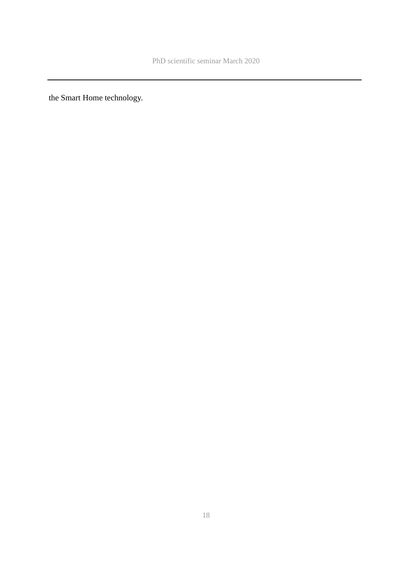the Smart Home technology.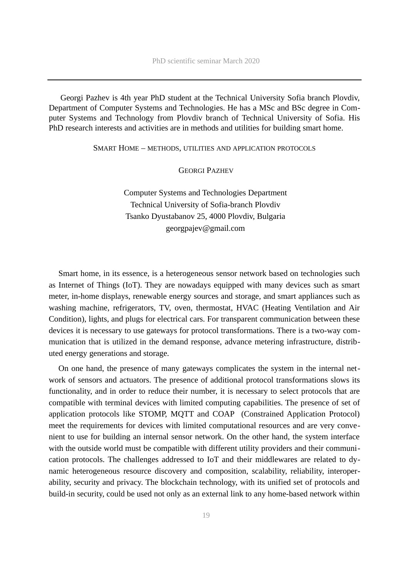Georgi Pazhev is 4th year PhD student at the Technical University Sofia branch Plovdiv, Department of Computer Systems and Technologies. He has a MSc and BSc degree in Computer Systems and Technology from Plovdiv branch of Technical University of Sofia. His PhD research interests and activities are in methods and utilities for building smart home.

<span id="page-18-1"></span>SMART HOME – METHODS, UTILITIES AND APPLICATION PROTOCOLS

<span id="page-18-0"></span>GEORGI PAZHEV

Computer Systems and Technologies Department Technical University of Sofia-branch Plovdiv Tsanko Dyustabanov 25, 4000 Plovdiv, Bulgaria georgpajev@gmail.com

Smart home, in its essence, is a heterogeneous sensor network based on technologies such as Internet of Things (IoT). They are nowadays equipped with many devices such as smart meter, in-home displays, renewable energy sources and storage, and smart appliances such as washing machine, refrigerators, TV, oven, thermostat, HVAC (Heating Ventilation and Air Condition), lights, and plugs for electrical cars. For transparent communication between these devices it is necessary to use gateways for protocol transformations. There is a two-way communication that is utilized in the demand response, advance metering infrastructure, distributed energy generations and storage.

On one hand, the presence of many gateways complicates the system in the internal network of sensors and actuators. The presence of additional protocol transformations slows its functionality, and in order to reduce their number, it is necessary to select protocols that are compatible with terminal devices with limited computing capabilities. The presence of set of application protocols like STOMP, MQTT and COAP (Constrained Application Protocol) meet the requirements for devices with limited computational resources and are very convenient to use for building an internal sensor network. On the other hand, the system interface with the outside world must be compatible with different utility providers and their communication protocols. The challenges addressed to IoT and their middlewares are related to dynamic heterogeneous resource discovery and composition, scalability, reliability, interoperability, security and privacy. The blockchain technology, with its unified set of protocols and build-in security, could be used not only as an external link to any home-based network within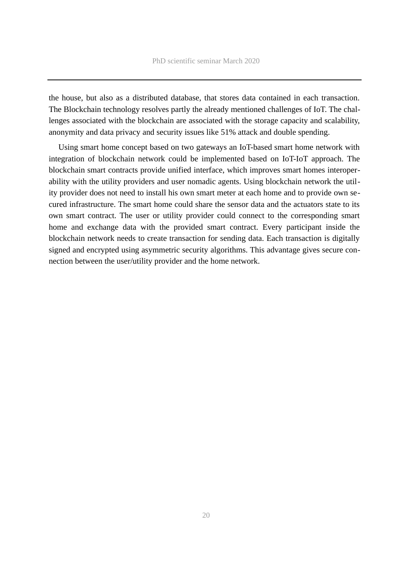the house, but also as a distributed database, that stores data contained in each transaction. The Blockchain technology resolves partly the already mentioned challenges of IoT. The challenges associated with the blockchain are associated with the storage capacity and scalability, anonymity and data privacy and security issues like 51% attack and double spending.

Using smart home concept based on two gateways an IoT-based smart home network with integration of blockchain network could be implemented based on IoT-IoT approach. The blockchain smart contracts provide unified interface, which improves smart homes interoperability with the utility providers and user nomadic agents. Using blockchain network the utility provider does not need to install his own smart meter at each home and to provide own secured infrastructure. The smart home could share the sensor data and the actuators state to its own smart contract. The user or utility provider could connect to the corresponding smart home and exchange data with the provided smart contract. Every participant inside the blockchain network needs to create transaction for sending data. Each transaction is digitally signed and encrypted using asymmetric security algorithms. This advantage gives secure connection between the user/utility provider and the home network.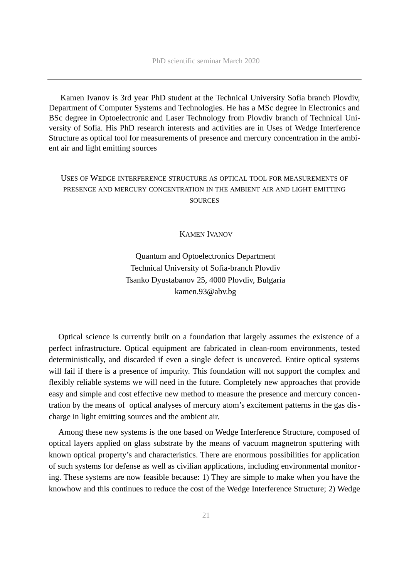Kamen Ivanov is 3rd year PhD student at the Technical University Sofia branch Plovdiv, Department of Computer Systems and Technologies. He has a MSc degree in Electronics and BSc degree in Optoelectronic and Laser Technology from Plovdiv branch of Technical University of Sofia. His PhD research interests and activities are in Uses of Wedge Interference Structure as optical tool for measurements of presence and mercury concentration in the ambient air and light emitting sources

# <span id="page-20-1"></span>USES OF WEDGE INTERFERENCE STRUCTURE AS OPTICAL TOOL FOR MEASUREMENTS OF PRESENCE AND MERCURY CONCENTRATION IN THE AMBIENT AIR AND LIGHT EMITTING **SOURCES**

### <span id="page-20-0"></span>KAMEN IVANOV

Quantum and Optoelectronics Department Technical University of Sofia-branch Plovdiv Tsanko Dyustabanov 25, 4000 Plovdiv, Bulgaria kamen.93@abv.bg

Optical science is currently built on a foundation that largely assumes the existence of a perfect infrastructure. Optical equipment are fabricated in clean-room environments, tested deterministically, and discarded if even a single defect is uncovered. Entire optical systems will fail if there is a presence of impurity. This foundation will not support the complex and flexibly reliable systems we will need in the future. Completely new approaches that provide easy and simple and cost effective new method to measure the presence and mercury concentration by the means of optical analyses of mercury atom's excitement patterns in the gas discharge in light emitting sources and the ambient air.

Among these new systems is the one based on Wedge Interference Structure, composed of optical layers applied on glass substrate by the means of vacuum magnetron sputtering with known optical property's and characteristics. There are enormous possibilities for application of such systems for defense as well as civilian applications, including environmental monitoring. These systems are now feasible because: 1) They are simple to make when you have the knowhow and this continues to reduce the cost of the Wedge Interference Structure; 2) Wedge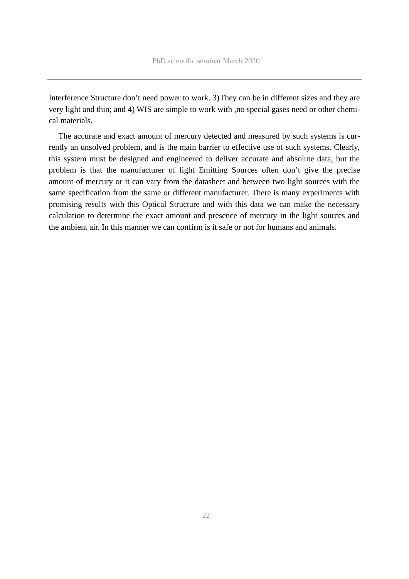Interference Structure don't need power to work. 3)Тhey can be in different sizes and they are very light and thin; and 4) WIS are simple to work with ,no special gases need or other chemical materials.

The accurate and exact amount of mercury detected and measured by such systems is currently an unsolved problem, and is the main barrier to effective use of such systems. Clearly, this system must be designed and engineered to deliver accurate and absolute data, but the problem is that the manufacturer of light Emitting Sources often don't give the precise amount of mercury or it can vary from the datasheet and between two light sources with the same specification from the same or different manufacturer. There is many experiments with promising results with this Optical Structure and with this data we can make the necessary calculation to determine the exact amount and presence of mercury in the light sources and the ambient air. In this manner we can confirm is it safe or not for humans and animals.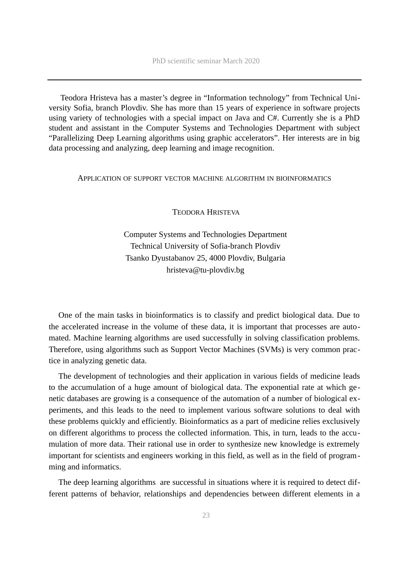Teodora Hristeva has a master's degree in "Information technology" from Technical University Sofia, branch Plovdiv. She has more than 15 years of experience in software projects using variety of technologies with a special impact on Java and C#. Currently she is a PhD student and assistant in the Computer Systems and Technologies Department with subject "Parallelizing Deep Learning algorithms using graphic accelerators". Her interests are in big data processing and analyzing, deep learning and image recognition.

#### <span id="page-22-1"></span>APPLICATION OF SUPPORT VECTOR MACHINE ALGORITHM IN BIOINFORMATICS

<span id="page-22-0"></span>TEODORA HRISTEVA

Computer Systems and Technologies Department Technical University of Sofia-branch Plovdiv Tsanko Dyustabanov 25, 4000 Plovdiv, Bulgaria hristeva@tu-plovdiv.bg

One of the main tasks in bioinformatics is to classify and predict biological data. Due to the accelerated increase in the volume of these data, it is important that processes are automated. Machine learning algorithms are used successfully in solving classification problems. Therefore, using algorithms such as Support Vector Machines (SVMs) is very common practice in analyzing genetic data.

The development of technologies and their application in various fields of medicine leads to the accumulation of a huge amount of biological data. The exponential rate at which genetic databases are growing is a consequence of the automation of a number of biological experiments, and this leads to the need to implement various software solutions to deal with these problems quickly and efficiently. Bioinformatics as a part of medicine relies exclusively on different algorithms to process the collected information. This, in turn, leads to the accumulation of more data. Their rational use in order to synthesize new knowledge is extremely important for scientists and engineers working in this field, as well as in the field of programming and informatics.

The deep learning algorithms are successful in situations where it is required to detect different patterns of behavior, relationships and dependencies between different elements in a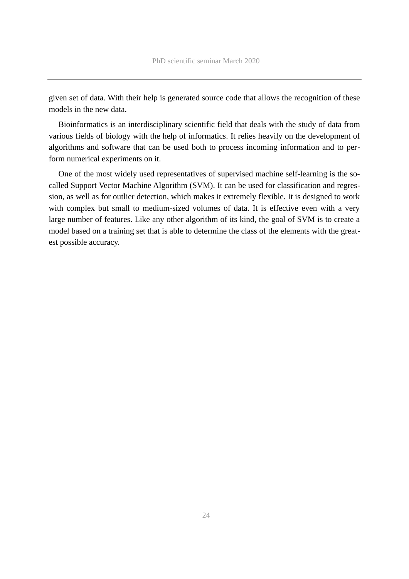given set of data. With their help is generated source code that allows the recognition of these models in the new data.

Bioinformatics is an interdisciplinary scientific field that deals with the study of data from various fields of biology with the help of informatics. It relies heavily on the development of algorithms and software that can be used both to process incoming information and to perform numerical experiments on it.

One of the most widely used representatives of supervised machine self-learning is the socalled Support Vector Machine Algorithm (SVM). It can be used for classification and regression, as well as for outlier detection, which makes it extremely flexible. It is designed to work with complex but small to medium-sized volumes of data. It is effective even with a very large number of features. Like any other algorithm of its kind, the goal of SVM is to create a model based on a training set that is able to determine the class of the elements with the greatest possible accuracy.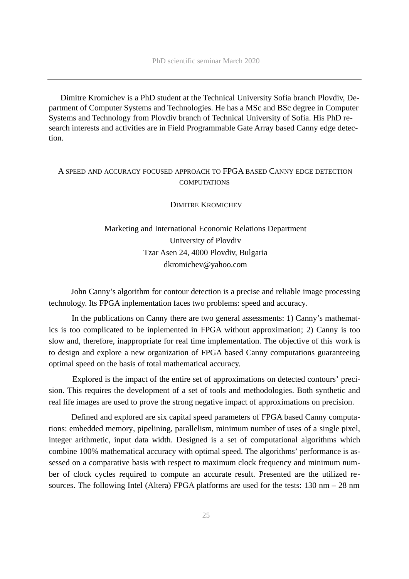Dimitre Kromichev is a PhD student at the Technical University Sofia branch Plovdiv, Department of Computer Systems and Technologies. He has a MSc and BSc degree in Computer Systems and Technology from Plovdiv branch of Technical University of Sofia. His PhD research interests and activities are in Field Programmable Gate Array based Canny edge detection.

# <span id="page-24-1"></span> A SPEED AND ACCURACY FOCUSED APPROACH TO FPGA BASED CANNY EDGE DETECTION **COMPUTATIONS**

<span id="page-24-0"></span>DIMITRE KROMICHEV

# Marketing and International Economic Relations Department University of Plovdiv Tzar Asen 24, 4000 Plovdiv, Bulgaria dkromichev@yahoo.com

 John Canny's algorithm for contour detection is a precise and reliable image processing technology. Its FPGA inplementation faces two problems: speed and accuracy.

 In the publications on Canny there are two general assessments: 1) Canny's mathematics is too complicated to be inplemented in FPGA without approximation; 2) Canny is too slow and, therefore, inappropriate for real time implementation. The objective of this work is to design and explore a new organization of FPGA based Canny computations guaranteeing optimal speed on the basis of total mathematical accuracy.

 Explored is the impact of the entire set of approximations on detected contours' precision. This requires the development of a set of tools and methodologies. Both synthetic and real life images are used to prove the strong negative impact of approximations on precision.

 Defined and explored are six capital speed parameters of FPGA based Canny computations: embedded memory, pipelining, parallelism, minimum number of uses of a single pixel, integer arithmetic, input data width. Designed is a set of computational algorithms which combine 100% mathematical accuracy with optimal speed. The algorithms' performance is assessed on a comparative basis with respect to maximum clock frequency and minimum number of clock cycles required to compute an accurate result. Presented are the utilized resources. The following Intel (Altera) FPGA platforms are used for the tests: 130 nm – 28 nm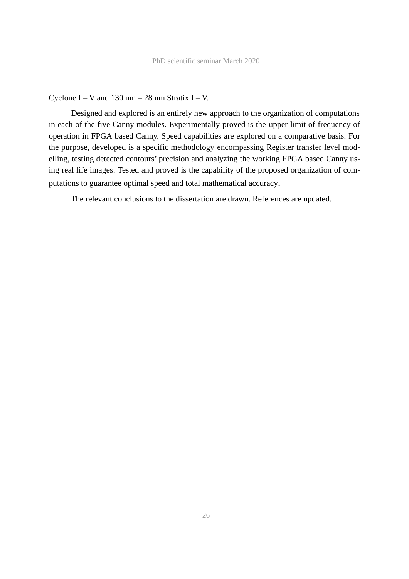# Cyclone  $I - V$  and 130 nm  $- 28$  nm Stratix  $I - V$ .

 Designed and explored is an entirely new approach to the organization of computations in each of the five Canny modules. Experimentally proved is the upper limit of frequency of operation in FPGA based Canny. Speed capabilities are explored on a comparative basis. For the purpose, developed is a specific methodology encompassing Register transfer level modelling, testing detected contours' precision and analyzing the working FPGA based Canny using real life images. Tested and proved is the capability of the proposed organization of computations to guarantee optimal speed and total mathematical accuracy.

The relevant conclusions to the dissertation are drawn. References are updated.